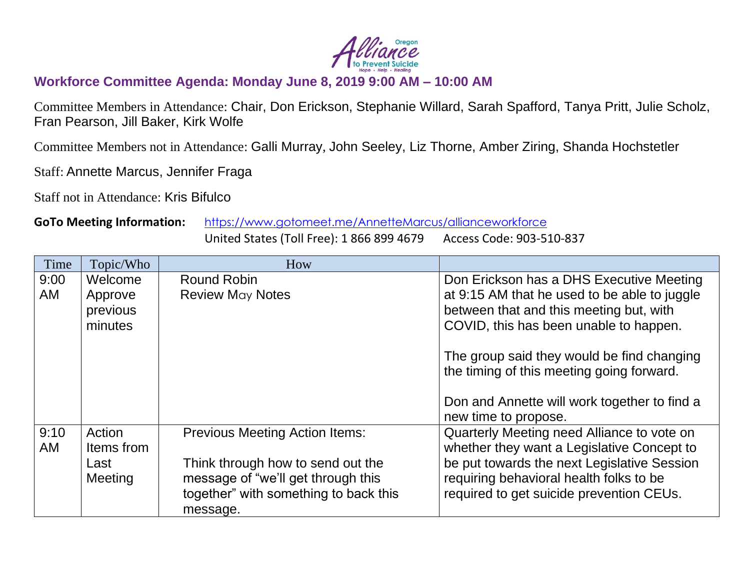

## **Workforce Committee Agenda: Monday June 8, 2019 9:00 AM – 10:00 AM**

Committee Members in Attendance: Chair, Don Erickson, Stephanie Willard, Sarah Spafford, Tanya Pritt, Julie Scholz, Fran Pearson, Jill Baker, Kirk Wolfe

Committee Members not in Attendance: Galli Murray, John Seeley, Liz Thorne, Amber Ziring, Shanda Hochstetler

Staff: Annette Marcus, Jennifer Fraga

Staff not in Attendance: Kris Bifulco

## **GoTo Meeting Information:** <https://www.gotomeet.me/AnnetteMarcus/allianceworkforce>

United States (Toll Free): 1 866 899 4679 Access Code: 903-510-837

| Time       | Topic/Who            | How                                                                     |                                                                                          |
|------------|----------------------|-------------------------------------------------------------------------|------------------------------------------------------------------------------------------|
| 9:00<br>AM | Welcome<br>Approve   | Round Robin<br><b>Review May Notes</b>                                  | Don Erickson has a DHS Executive Meeting<br>at 9:15 AM that he used to be able to juggle |
|            | previous<br>minutes  |                                                                         | between that and this meeting but, with<br>COVID, this has been unable to happen.        |
|            |                      |                                                                         | The group said they would be find changing<br>the timing of this meeting going forward.  |
|            |                      |                                                                         | Don and Annette will work together to find a<br>new time to propose.                     |
| 9:10<br>AM | Action<br>Items from | <b>Previous Meeting Action Items:</b>                                   | Quarterly Meeting need Alliance to vote on<br>whether they want a Legislative Concept to |
|            | Last<br>Meeting      | Think through how to send out the<br>message of "we'll get through this | be put towards the next Legislative Session<br>requiring behavioral health folks to be   |
|            |                      | together" with something to back this<br>message.                       | required to get suicide prevention CEUs.                                                 |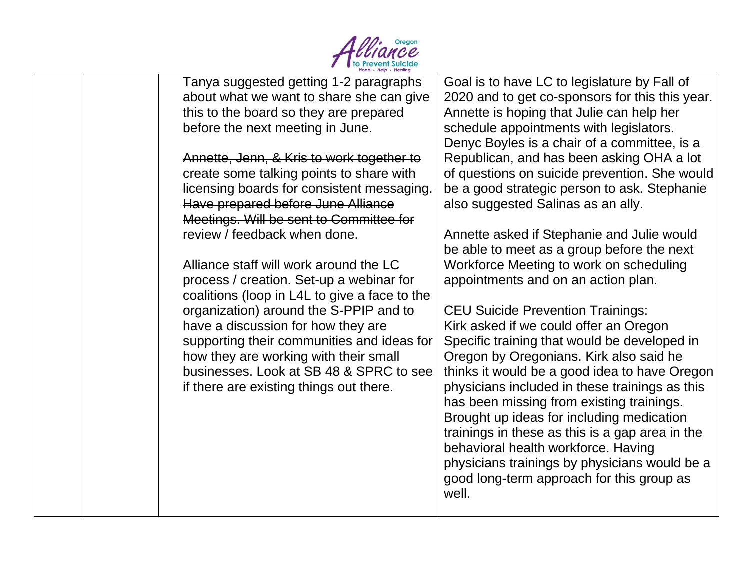

|                                               | Hope · Help · Healing |                                                 |
|-----------------------------------------------|-----------------------|-------------------------------------------------|
| Tanya suggested getting 1-2 paragraphs        |                       | Goal is to have LC to legislature by Fall of    |
| about what we want to share she can give      |                       | 2020 and to get co-sponsors for this this year. |
| this to the board so they are prepared        |                       | Annette is hoping that Julie can help her       |
| before the next meeting in June.              |                       | schedule appointments with legislators.         |
|                                               |                       | Denyc Boyles is a chair of a committee, is a    |
| Annette, Jenn, & Kris to work together to     |                       | Republican, and has been asking OHA a lot       |
| create some talking points to share with      |                       | of questions on suicide prevention. She would   |
| licensing boards for consistent messaging.    |                       | be a good strategic person to ask. Stephanie    |
| Have prepared before June Alliance            |                       | also suggested Salinas as an ally.              |
| Meetings. Will be sent to Committee for       |                       |                                                 |
| review / feedback when done.                  |                       | Annette asked if Stephanie and Julie would      |
|                                               |                       | be able to meet as a group before the next      |
| Alliance staff will work around the LC        |                       | Workforce Meeting to work on scheduling         |
| process / creation. Set-up a webinar for      |                       | appointments and on an action plan.             |
| coalitions (loop in L4L to give a face to the |                       |                                                 |
| organization) around the S-PPIP and to        |                       | <b>CEU Suicide Prevention Trainings:</b>        |
| have a discussion for how they are            |                       | Kirk asked if we could offer an Oregon          |
| supporting their communities and ideas for    |                       | Specific training that would be developed in    |
| how they are working with their small         |                       | Oregon by Oregonians. Kirk also said he         |
| businesses. Look at SB 48 & SPRC to see       |                       | thinks it would be a good idea to have Oregon   |
| if there are existing things out there.       |                       | physicians included in these trainings as this  |
|                                               |                       | has been missing from existing trainings.       |
|                                               |                       | Brought up ideas for including medication       |
|                                               |                       | trainings in these as this is a gap area in the |
|                                               |                       | behavioral health workforce. Having             |
|                                               |                       | physicians trainings by physicians would be a   |
|                                               |                       | good long-term approach for this group as       |
|                                               |                       | well.                                           |
|                                               |                       |                                                 |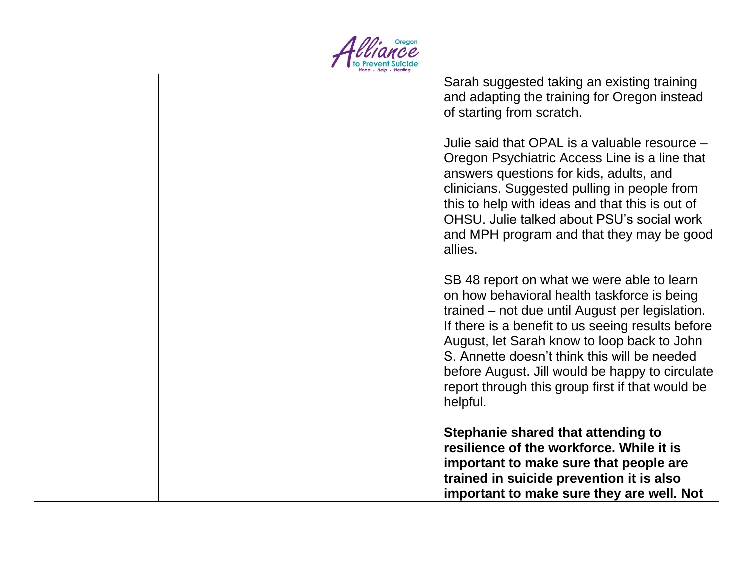

|  | Sarah suggested taking an existing training<br>and adapting the training for Oregon instead          |
|--|------------------------------------------------------------------------------------------------------|
|  | of starting from scratch.                                                                            |
|  | Julie said that OPAL is a valuable resource -                                                        |
|  | Oregon Psychiatric Access Line is a line that                                                        |
|  | answers questions for kids, adults, and                                                              |
|  | clinicians. Suggested pulling in people from<br>this to help with ideas and that this is out of      |
|  | OHSU, Julie talked about PSU's social work                                                           |
|  | and MPH program and that they may be good                                                            |
|  | allies.                                                                                              |
|  | SB 48 report on what we were able to learn                                                           |
|  | on how behavioral health taskforce is being                                                          |
|  | trained – not due until August per legislation.<br>If there is a benefit to us seeing results before |
|  | August, let Sarah know to loop back to John                                                          |
|  | S. Annette doesn't think this will be needed                                                         |
|  | before August. Jill would be happy to circulate<br>report through this group first if that would be  |
|  | helpful.                                                                                             |
|  | Stephanie shared that attending to                                                                   |
|  | resilience of the workforce. While it is                                                             |
|  | important to make sure that people are                                                               |
|  | trained in suicide prevention it is also<br>important to make sure they are well. Not                |
|  |                                                                                                      |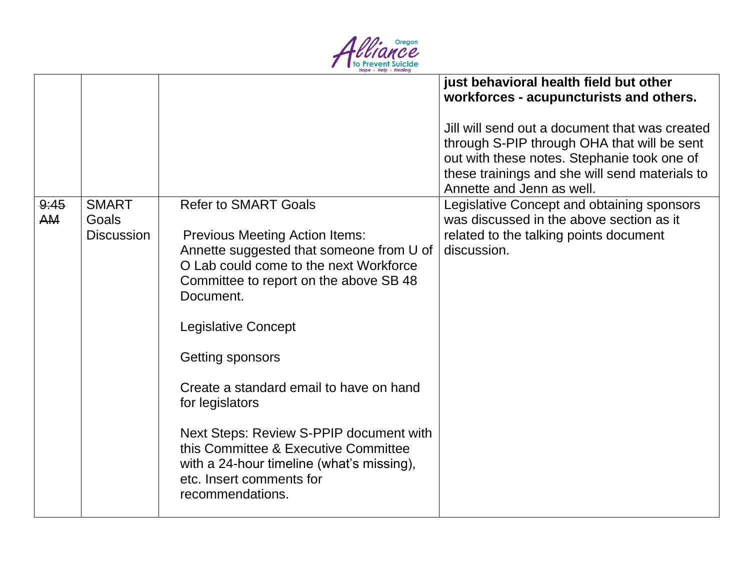

|                   |                                            |                                                                                                                                                                                                                                                                                                                                                                                                                                                                                                                   | just behavioral health field but other<br>workforces - acupuncturists and others.<br>Jill will send out a document that was created<br>through S-PIP through OHA that will be sent<br>out with these notes. Stephanie took one of<br>these trainings and she will send materials to<br>Annette and Jenn as well. |
|-------------------|--------------------------------------------|-------------------------------------------------------------------------------------------------------------------------------------------------------------------------------------------------------------------------------------------------------------------------------------------------------------------------------------------------------------------------------------------------------------------------------------------------------------------------------------------------------------------|------------------------------------------------------------------------------------------------------------------------------------------------------------------------------------------------------------------------------------------------------------------------------------------------------------------|
| 9:45<br><b>AM</b> | <b>SMART</b><br>Goals<br><b>Discussion</b> | <b>Refer to SMART Goals</b><br><b>Previous Meeting Action Items:</b><br>Annette suggested that someone from U of<br>O Lab could come to the next Workforce<br>Committee to report on the above SB 48<br>Document.<br><b>Legislative Concept</b><br>Getting sponsors<br>Create a standard email to have on hand<br>for legislators<br>Next Steps: Review S-PPIP document with<br>this Committee & Executive Committee<br>with a 24-hour timeline (what's missing),<br>etc. Insert comments for<br>recommendations. | Legislative Concept and obtaining sponsors<br>was discussed in the above section as it<br>related to the talking points document<br>discussion.                                                                                                                                                                  |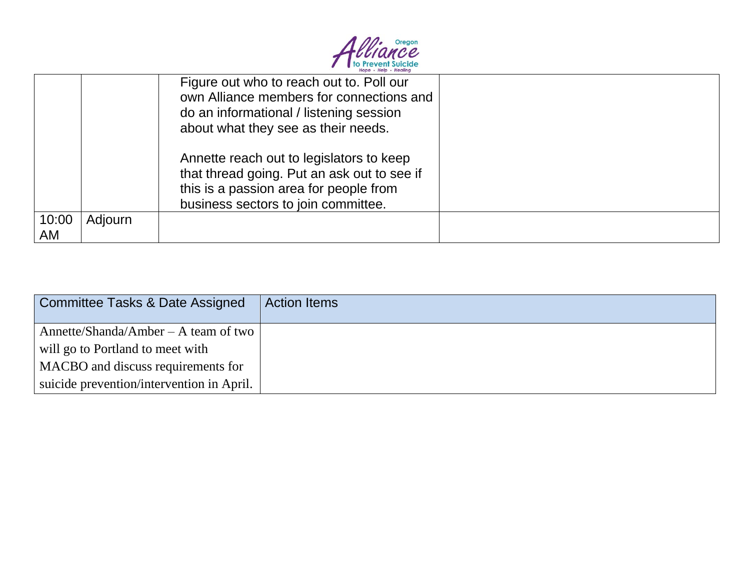

|       |         | Figure out who to reach out to. Poll our<br>own Alliance members for connections and<br>do an informational / listening session<br>about what they see as their needs.   |  |
|-------|---------|--------------------------------------------------------------------------------------------------------------------------------------------------------------------------|--|
|       |         | Annette reach out to legislators to keep<br>that thread going. Put an ask out to see if<br>this is a passion area for people from<br>business sectors to join committee. |  |
| 10:00 | Adjourn |                                                                                                                                                                          |  |
| AM    |         |                                                                                                                                                                          |  |

| Committee Tasks & Date Assigned           | <b>Action Items</b> |
|-------------------------------------------|---------------------|
| Annette/Shanda/Amber $-$ A team of two    |                     |
| will go to Portland to meet with          |                     |
| MACBO and discuss requirements for        |                     |
| suicide prevention/intervention in April. |                     |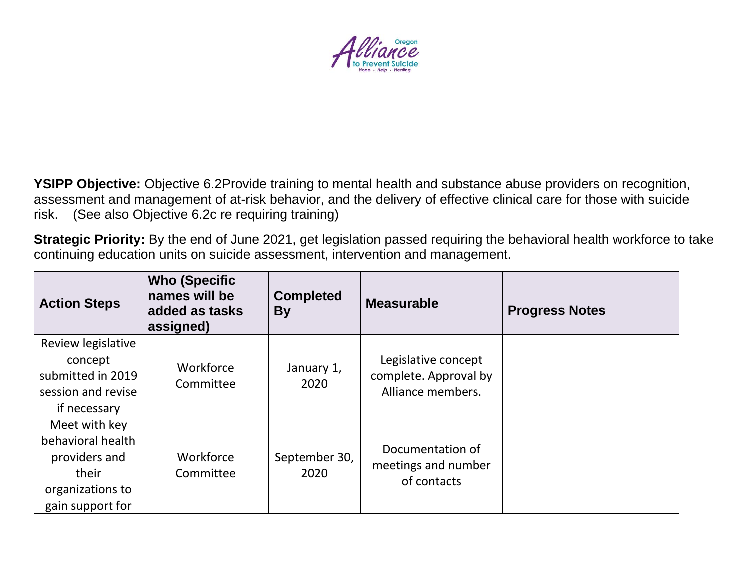

**YSIPP Objective:** Objective 6.2Provide training to mental health and substance abuse providers on recognition, assessment and management of at-risk behavior, and the delivery of effective clinical care for those with suicide risk. (See also Objective 6.2c re requiring training)

**Strategic Priority:** By the end of June 2021, get legislation passed requiring the behavioral health workforce to take continuing education units on suicide assessment, intervention and management.

| <b>Action Steps</b>                                                                                  | <b>Who (Specific)</b><br>names will be<br>added as tasks<br>assigned) | <b>Completed</b><br><b>By</b> | <b>Measurable</b>                                                 | <b>Progress Notes</b> |
|------------------------------------------------------------------------------------------------------|-----------------------------------------------------------------------|-------------------------------|-------------------------------------------------------------------|-----------------------|
| Review legislative<br>concept<br>submitted in 2019<br>session and revise<br>if necessary             | Workforce<br>Committee                                                | January 1,<br>2020            | Legislative concept<br>complete. Approval by<br>Alliance members. |                       |
| Meet with key<br>behavioral health<br>providers and<br>their<br>organizations to<br>gain support for | Workforce<br>Committee                                                | September 30,<br>2020         | Documentation of<br>meetings and number<br>of contacts            |                       |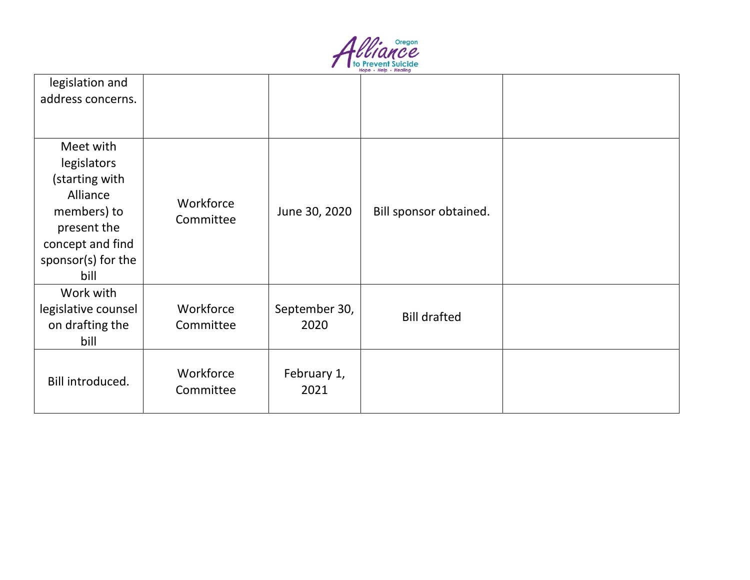

| legislation and<br>address concerns.                                                                                                   |                        |                       |                        |  |
|----------------------------------------------------------------------------------------------------------------------------------------|------------------------|-----------------------|------------------------|--|
| Meet with<br>legislators<br>(starting with<br>Alliance<br>members) to<br>present the<br>concept and find<br>sponsor(s) for the<br>bill | Workforce<br>Committee | June 30, 2020         | Bill sponsor obtained. |  |
| Work with<br>legislative counsel<br>on drafting the<br>bill                                                                            | Workforce<br>Committee | September 30,<br>2020 | <b>Bill drafted</b>    |  |
| Bill introduced.                                                                                                                       | Workforce<br>Committee | February 1,<br>2021   |                        |  |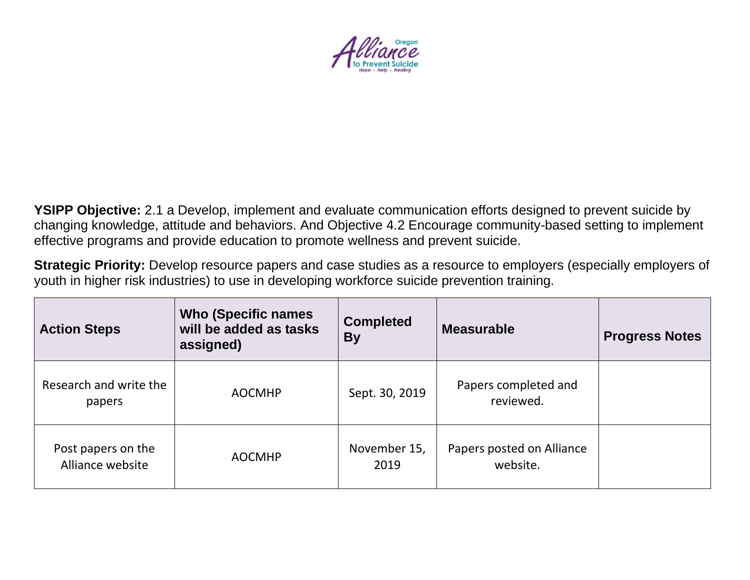

**YSIPP Objective:** 2.1 a Develop, implement and evaluate communication efforts designed to prevent suicide by changing knowledge, attitude and behaviors. And Objective 4.2 Encourage community-based setting to implement effective programs and provide education to promote wellness and prevent suicide.

**Strategic Priority:** Develop resource papers and case studies as a resource to employers (especially employers of youth in higher risk industries) to use in developing workforce suicide prevention training.

| <b>Action Steps</b>                    | <b>Who (Specific names)</b><br>will be added as tasks<br>assigned) | <b>Completed</b><br><b>By</b> | <b>Measurable</b>                     | <b>Progress Notes</b> |
|----------------------------------------|--------------------------------------------------------------------|-------------------------------|---------------------------------------|-----------------------|
| Research and write the<br>papers       | <b>AOCMHP</b>                                                      | Sept. 30, 2019                | Papers completed and<br>reviewed.     |                       |
| Post papers on the<br>Alliance website | <b>AOCMHP</b>                                                      | November 15,<br>2019          | Papers posted on Alliance<br>website. |                       |